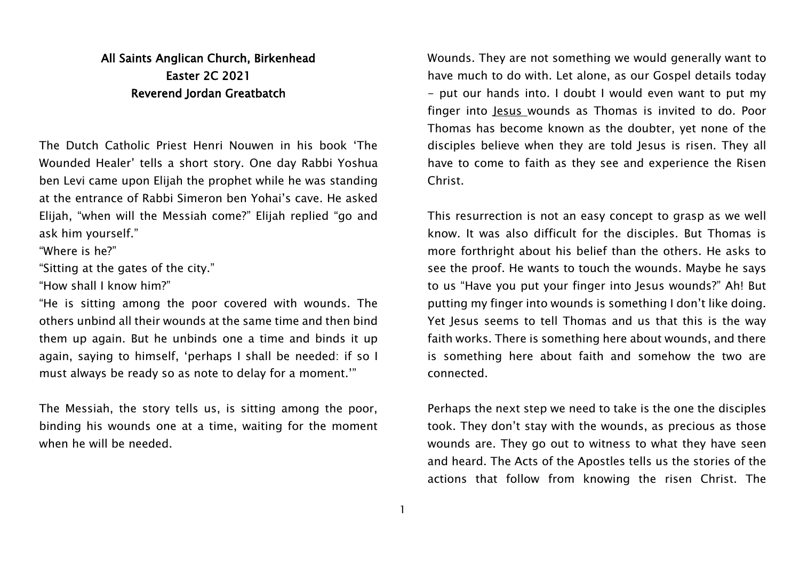## All Saints Anglican Church, Birkenhead Easter 2C 2021 Reverend Jordan Greatbatch

The Dutch Catholic Priest Henri Nouwen in his book 'The Wounded Healer' tells a short story. One day Rabbi Yoshua ben Levi came upon Elijah the prophet while he was standing at the entrance of Rabbi Simeron ben Yohai's cave. He asked Elijah, "when will the Messiah come?" Elijah replied "go and ask him yourself."

"Where is he?"

"Sitting at the gates of the city."

"How shall I know him?"

"He is sitting among the poor covered with wounds. The others unbind all their wounds at the same time and then bind them up again. But he unbinds one a time and binds it up again, saying to himself, 'perhaps I shall be needed: if so I must always be ready so as note to delay for a moment.'"

The Messiah, the story tells us, is sitting among the poor, binding his wounds one at a time, waiting for the moment when he will be needed

Wounds. They are not something we would generally want to have much to do with. Let alone, as our Gospel details today - put our hands into. I doubt I would even want to put my finger into Jesus wounds as Thomas is invited to do. Poor Thomas has become known as the doubter, yet none of the disciples believe when they are told Jesus is risen. They all have to come to faith as they see and experience the Risen Christ.

This resurrection is not an easy concept to grasp as we well know. It was also difficult for the disciples. But Thomas is more forthright about his belief than the others. He asks to see the proof. He wants to touch the wounds. Maybe he says to us "Have you put your finger into Jesus wounds?" Ah! But putting my finger into wounds is something I don't like doing. Yet Jesus seems to tell Thomas and us that this is the way faith works. There is something here about wounds, and there is something here about faith and somehow the two are connected.

Perhaps the next step we need to take is the one the disciples took. They don't stay with the wounds, as precious as those wounds are. They go out to witness to what they have seen and heard. The Acts of the Apostles tells us the stories of the actions that follow from knowing the risen Christ. The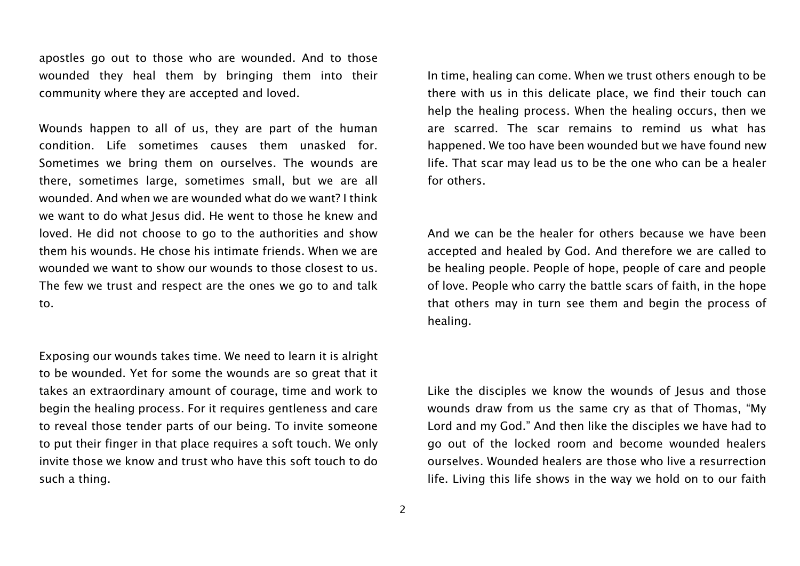apostles go out to those who are wounded. And to those wounded they heal them by bringing them into their community where they are accepted and loved.

Wounds happen to all of us, they are part of the human condition. Life sometimes causes them unasked for. Sometimes we bring them on ourselves. The wounds are there, sometimes large, sometimes small, but we are all wounded. And when we are wounded what do we want? I think we want to do what Jesus did. He went to those he knew and loved. He did not choose to go to the authorities and show them his wounds. He chose his intimate friends. When we are wounded we want to show our wounds to those closest to us. The few we trust and respect are the ones we go to and talk to.

Exposing our wounds takes time. We need to learn it is alright to be wounded. Yet for some the wounds are so great that it takes an extraordinary amount of courage, time and work to begin the healing process. For it requires gentleness and care to reveal those tender parts of our being. To invite someone to put their finger in that place requires a soft touch. We only invite those we know and trust who have this soft touch to do such a thing.

In time, healing can come. When we trust others enough to be there with us in this delicate place, we find their touch can help the healing process. When the healing occurs, then we are scarred. The scar remains to remind us what has happened. We too have been wounded but we have found new life. That scar may lead us to be the one who can be a healer for others.

And we can be the healer for others because we have been accepted and healed by God. And therefore we are called to be healing people. People of hope, people of care and people of love. People who carry the battle scars of faith, in the hope that others may in turn see them and begin the process of healing.

Like the disciples we know the wounds of Jesus and those wounds draw from us the same cry as that of Thomas, "My Lord and my God." And then like the disciples we have had to go out of the locked room and become wounded healers ourselves. Wounded healers are those who live a resurrection life. Living this life shows in the way we hold on to our faith